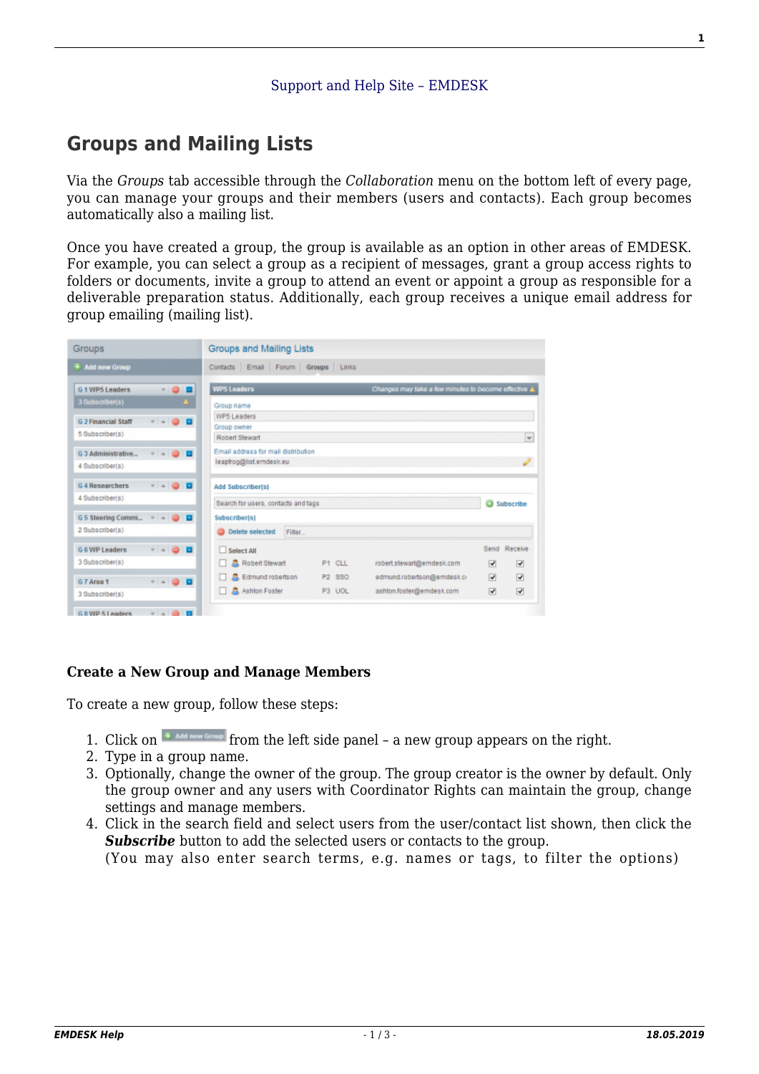## **[Groups and Mailing Lists](https://www.emdesk.com/help/collaboration-management/groups-and-links-distribution)**

Via the *Groups* tab accessible through the *Collaboration* menu on the bottom left of every page, you can manage your groups and their members (users and contacts). Each group becomes automatically also a mailing list.

Once you have created a group, the group is available as an option in other areas of EMDESK. For example, you can select a group as a recipient of messages, grant a group access rights to folders or documents, invite a group to attend an event or appoint a group as responsible for a deliverable preparation status. Additionally, each group receives a unique email address for group emailing (mailing list).

| Groups                                        |            | Groups and Mailing Lists                                                                                                  |                                        |
|-----------------------------------------------|------------|---------------------------------------------------------------------------------------------------------------------------|----------------------------------------|
| <b>F</b> Add new Group                        |            | Contacts Email Forum Groups Links                                                                                         |                                        |
| G 1 WP5 Leaders<br>3 Subscriber(s)            | ■          | <b>WP5 Leaders</b><br>Changes may take a few minutes to become effective 1                                                |                                        |
| <b>G 2 Financial Staff</b><br>5 Subscriber(s) | .          | Group name<br><b>WP5 Leaders</b><br>Group owner<br>Robert Stewart                                                         |                                        |
| G 3 Administrative<br>4 Subscriber(s)         | . . 8 8    | Email address for mail distribution<br>leaphog@list.emdesk.eu                                                             | $\checkmark$                           |
| G 4 Researchers<br>4 Subscriber(s)            | --80       | Add Subscriber(s)<br>Search for users, contacts and tags                                                                  | <b>B</b> Subscribe                     |
| G 5 Steering Commi<br>2 Subscriber(s)         |            | Subscriber(s)<br><b>Delete selected</b><br>Filter                                                                         |                                        |
| G 6 WP Leaders                                | $-10$<br>Ð | Select All                                                                                                                | Send Receive                           |
| 3 Subscriber(s)                               |            | <b>A</b> Robert Stewart<br>P1 CLL<br>robert.stewart@emdesk.com                                                            | ☑<br>⊽                                 |
| G 7 Area 1<br>3 Subscriber(s)                 | .          | Edmund robertson<br>880<br>edmund.robertson@emdesk.c/<br>P2<br><b>Ashlon Foster</b><br>P3 UOL<br>ashton.fosten@emdesk.com | ☑<br>☑<br>$\overline{\mathbf{v}}$<br>☑ |
| G.R.WP 5.Leaders                              | $V = 0$    |                                                                                                                           |                                        |

## **Create a New Group and Manage Members**

To create a new group, follow these steps:

- 1. Click on  $\left[\begin{array}{cc} \bullet & \text{Adi new Green} \end{array}\right]$  from the left side panel a new group appears on the right.
- 2. Type in a group name.
- 3. Optionally, change the owner of the group. The group creator is the owner by default. Only the group owner and any users with Coordinator Rights can maintain the group, change settings and manage members.
- 4. Click in the search field and select users from the user/contact list shown, then click the **Subscribe** button to add the selected users or contacts to the group. (You may also enter search terms, e.g. names or tags, to filter the options)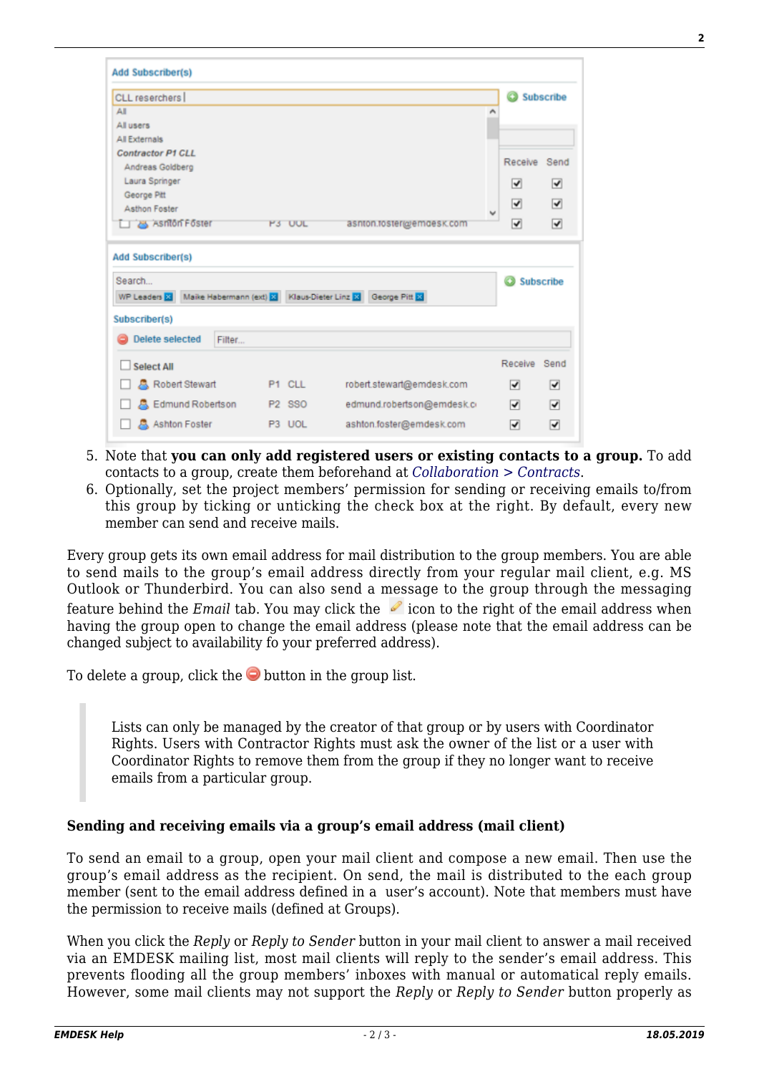| CLL reserchers                                                                                                                                           |                                |  |                            |   | <b>Q</b> Subscribe    |           |
|----------------------------------------------------------------------------------------------------------------------------------------------------------|--------------------------------|--|----------------------------|---|-----------------------|-----------|
| ΔI                                                                                                                                                       |                                |  |                            | ۸ |                       |           |
| All users                                                                                                                                                |                                |  |                            |   |                       |           |
| <b>All Externals</b>                                                                                                                                     |                                |  |                            |   |                       |           |
| <b>Contractor P1 CLL</b>                                                                                                                                 |                                |  |                            |   | Receive               | Send      |
| Andreas Goldberg                                                                                                                                         |                                |  |                            |   |                       |           |
| Laura Springer                                                                                                                                           |                                |  |                            |   | ᢦ                     | ▿         |
| George Pitt<br>Asthon Foster                                                                                                                             |                                |  |                            |   | ⊽                     | ⊽         |
| <b>B</b> Asniton Foster                                                                                                                                  | P3 UUL                         |  | asnton.toster@emdesk.com   | v | ⊽                     | ᢦ         |
|                                                                                                                                                          |                                |  |                            |   |                       |           |
|                                                                                                                                                          |                                |  |                            |   | O<br><b>Subscribe</b> |           |
|                                                                                                                                                          |                                |  |                            |   |                       |           |
|                                                                                                                                                          |                                |  |                            |   |                       |           |
| <b>Delete selected</b><br>Filter                                                                                                                         |                                |  |                            |   |                       |           |
| <b>Select All</b>                                                                                                                                        |                                |  |                            |   | Receive               |           |
| <b>A</b> , Robert Stewart                                                                                                                                | P1 CLL                         |  | robert.stewart@emdesk.com  |   | ⊽                     | ⊽         |
| <b>Add Subscriber(s)</b><br>Search<br>WP Leaders X Maike Habermann (ext) X Klaus-Dieter Linz X George Pitt X<br>Subscriber(s)<br><b>Edmund Robertson</b> | P <sub>2</sub> S <sub>SO</sub> |  | edmund.robertson@emdesk.ci |   | ⊽                     | Send<br>⊽ |

- 5. Note that **you can only add registered users or existing contacts to a group.** To add contacts to a group, create them beforehand at *[Collaboration > Contracts](https://emdesk.eu/cms/?p=293&)*.
- 6. Optionally, set the project members' permission for sending or receiving emails to/from this group by ticking or unticking the check box at the right. By default, every new member can send and receive mails.

Every group gets its own email address for mail distribution to the group members. You are able to send mails to the group's email address directly from your regular mail client, e.g. MS Outlook or Thunderbird. You can also send a message to the group through the messaging feature behind the *Email* tab. You may click the **fight** icon to the right of the email address when having the group open to change the email address (please note that the email address can be changed subject to availability fo your preferred address).

To delete a group, click the  $\bullet$  button in the group list.

Lists can only be managed by the creator of that group or by users with Coordinator Rights. Users with Contractor Rights must ask the owner of the list or a user with Coordinator Rights to remove them from the group if they no longer want to receive emails from a particular group.

## **Sending and receiving emails via a group's email address (mail client)**

To send an email to a group, open your mail client and compose a new email. Then use the group's email address as the recipient. On send, the mail is distributed to the each group member (sent to the email address defined in a user's account). Note that members must have the permission to receive mails (defined at Groups).

When you click the *Reply* or *Reply to Sender* button in your mail client to answer a mail received via an EMDESK mailing list, most mail clients will reply to the sender's email address. This prevents flooding all the group members' inboxes with manual or automatical reply emails. However, some mail clients may not support the *Reply* or *Reply to Sender* button properly as